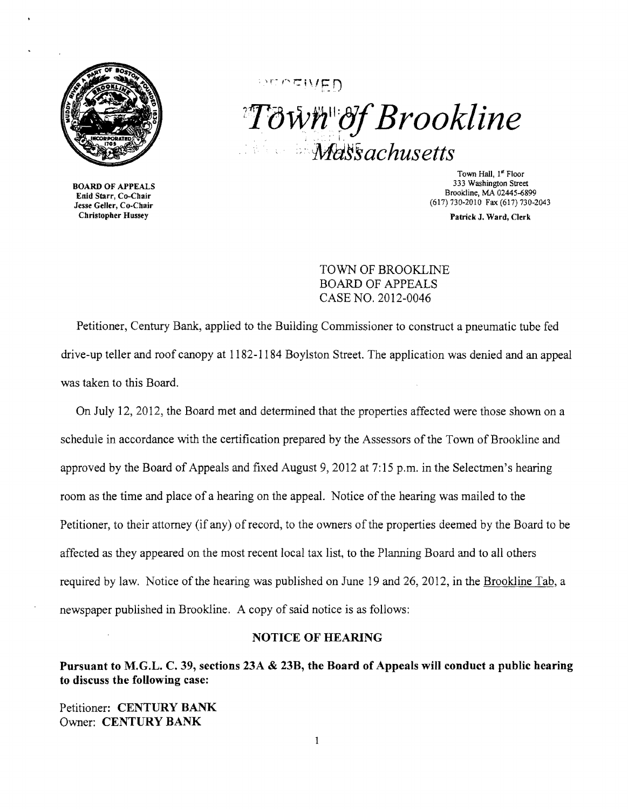

BOARD OF APPEALS Enid Starr, Co-Chair Jesse Geller, Co-Chair Christopher Hussey

 $PCT \cap T \cup \{F\}$  $T$ *own*"*of Brookline* .:" *MasFsachusetts* 

> Town Hall, 1" Floor 333 Washington Street Brookline, MA 02445-6899 (617) 730-2010 Fax (617) 730-2043

> > Patrick J. Ward, Clerk

TOWN OF BROOKLINE BOARD OF APPEALS CASE NO. 2012-0046

Petitioner, Century Bank, applied to the Building Commissioner to construct a pneumatic tube fed drive-up teller and roof canopy at 1182-1184 Boylston Street. The application was denied and an appeal was taken to this Board.

On July 12,2012, the Board met and determined that the properties affected were those shown on a schedule in accordance with the certification prepared by the Assessors of the Town of Brookline and approved by the Board of Appeals and fixed August 9, 2012 at 7:15 p.m. in the Selectmen's hearing room as the time and place of a hearing on the appeal. Notice of the hearing was mailed to the Petitioner, to their attorney (if any) of record, to the owners of the properties deemed by the Board to be affected as they appeared on the most recent local tax list, to the Planning Board and to all others required by law. Notice of the hearing was published on June 19 and 26, 2012, in the Brookline Tab, a newspaper published in Brookline. A copy of said notice is as follows:

#### NOTICE OF HEARING

Pursuant to M.G.L. C. 39, sections 23A & 23B, the Board of Appeals will conduct a public hearing to discuss the following case:

Petitioner: CENTURY BANK Owner: CENTURY BANK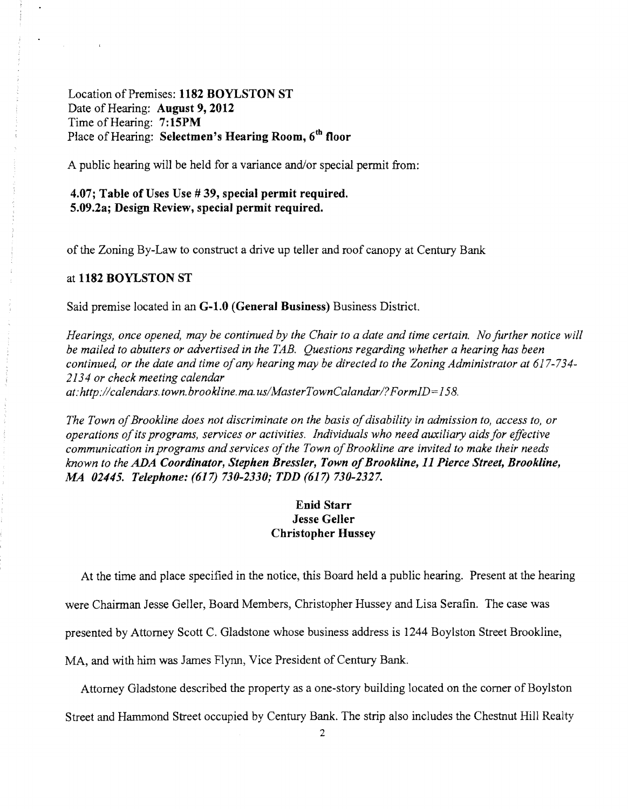# Location of Premises: 1182 BOYLSTON ST Date of Hearing: August 9, 2012 Time of Hearing: 7:15PM Place of Hearing: Selectmen's Hearing Room, 6<sup>th</sup> floor

A public hearing will be held for a variance and/or special permit from:

### 4.07; Table of Uses Use # 39, special permit required. 5.09.2a; Design Review, special permit required.

of the Zoning By-Law to construct a drive up teller and roof canopy at Century Bank

#### at 1182 BOYLSTON ST

Said premise located in an G-1.0 (General Business) Business District.

*Hearings, once opened, may be continued by the Chair to a date and time certain. No further notice will be mailed to abutters or advertised in the TAB. Questions regarding whether a hearing has been continued, or the date and time of any hearing may be directed to the Zoning Administrator at 617-734-2134 or check meeting calendar at: http://calendars.town.brookline.ma.usIMasterTownCalandarl? FormID= 158.* 

*The Town of Brookline does not discriminate on the basis of disability in admission to, access to, or operations ofits programs, services or activities. Individuals who need auxiliary aids for effective communication in programs and services of the Town of Brookline are invited to make their needs known to the ADA Coordinator, Stephen Bressler, Town ofBrookline,* 11 *Pierce Street, Brookline,*  .M4 *02445. Telephone:* (617) *730-2330; TDD* (617) *730-2327.* 

## Enid Starr Jesse Geller Christopher Hussey

At the time and place specified in the notice, this Board held a public hearing. Present at the hearing

were Chairman Jesse Geller, Board Members, Christopher Hussey and Lisa Serafin. The case was

presented by Attorney Scott C. Gladstone whose business address is 1244 Boylston Street Brookline,

MA, and with him was James Flynn, Vice President of Century Bank.

Attorney Gladstone described the property as a one-story building located on the corner of Boylston

Street and Hammond Street occupied by Century Bank. The strip also includes the Chestnut Hill Realty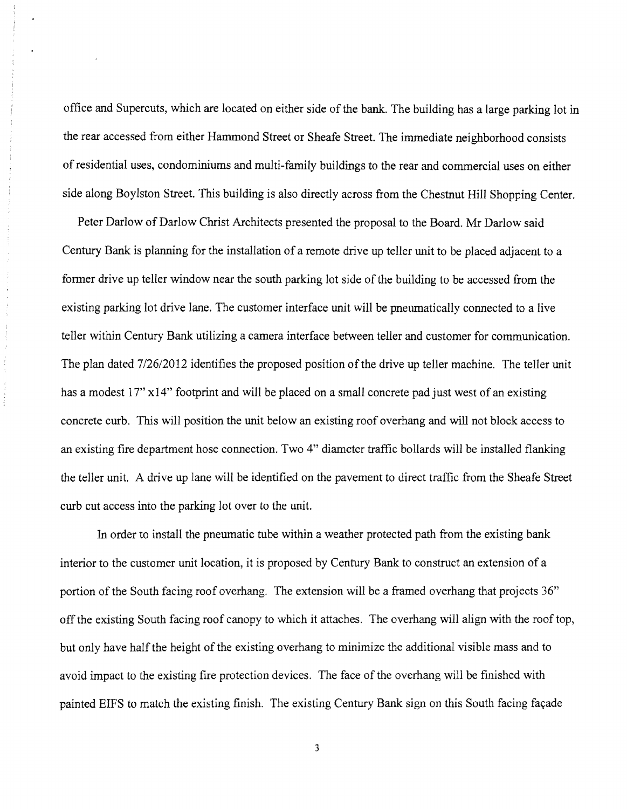office and Supercuts, which are located on either side of the bank. The building has a large parking lot in the rear accessed from either Hammond Street or Sheafe Street. The immediate neighborhood consists ofresidential uses, condominiums and multi-family buildings to the rear and commercial uses on either side along Boylston Street. This building is also directly across from the Chestnut Hill Shopping Center.

Peter Darlow of DarIow Christ Architects presented the proposal to the Board. Mr Darlow said Century Bank is planning for the installation of a remote drive up teller unit to be placed adjacent to a former drive up teller window near the south parking lot side of the building to be accessed from the existing parking lot drive lane. The customer interface unit will be pneumatically connected to a live teller within Century Bank utilizing a camera interface between teller and customer for communication. The plan dated 7/26/2012 identifies the proposed position of the drive up teller machine. The teller unit has a modest 17" x14" footprint and will be placed on a small concrete pad just west of an existing concrete curb. This will position the unit below an existing roof overhang and will not block access to an existing fire department hose connection. Two 4" diameter traffic bollards will be installed flanking the teller unit. A drive up lane will be identified on the pavement to direct traffic from the Sheafe Street curb cut access into the parking lot over to the unit.

 $\frac{1}{2}$ 

In order to install the pneumatic tube within a weather protected path from the existing bank interior to the customer unit location, it is proposed by Century Bank to construct an extension of a portion of the South facing roof overhang. The extension will be a framed overhang that projects 36" off the existing South facing roof canopy to which it attaches. The overhang will align with the roof top, but only have half the height of the existing overhang to minimize the additional visible mass and to avoid impact to the existing fire protection devices. The face of the overhang will be finished with painted EIFS to match the existing finish. The existing Century Bank sign on this South facing façade

3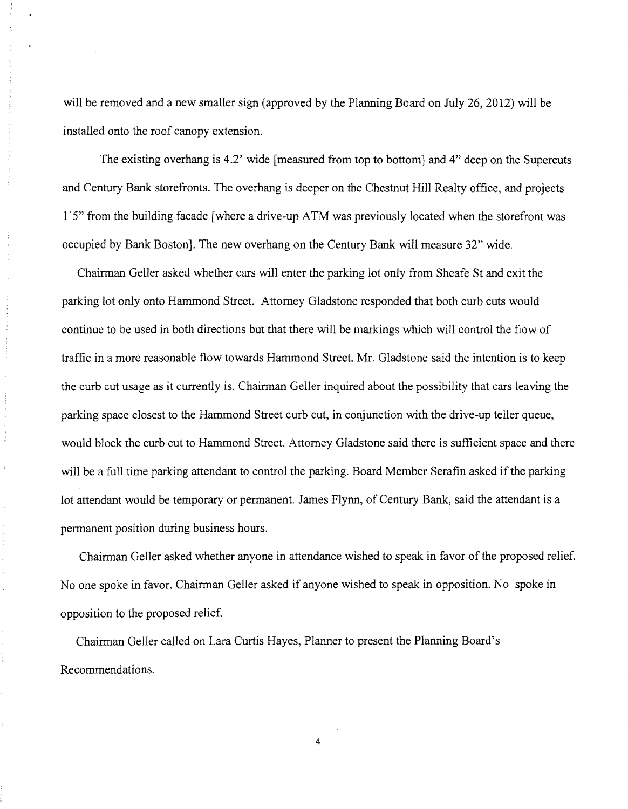will be removed and a new smaller sign (approved by the Planning Board on July 26, 2012) will be installed onto the roof canopy extension.

The existing overhang is 4.2' wide [measured from top to bottom] and 4" deep on the Supercuts and Century Bank storefronts. The overhang is deeper on the Chestnut Hill Realty office, and projects l'5" from the building facade [where a drive-up A TM was previously located when the storefront was occupied by Bank Boston]. The new overhang on the Century Bank will measure 32" wide.

Chairman Geller asked whether cars will enter the parking lot only from Sheafe St and exit the parking lot only onto Hammond Street. Attorney Gladstone responded that both curb cuts would continue to be used in both directions but that there will be markings which will control the flow of traffic in a more reasonable flow towards Hammond Street Mr. Gladstone said the intention is to keep the curb cut usage as it currently is. Chairman Geller inquired about the possibility that cars leaving the parking space closest to the Hammond Street curb cut, in conjunction with the drive-up teller queue, would block the curb cut to Hammond Street. Attorney Gladstone said there is sufficient space and there will be a full time parking attendant to control the parking. Board Member Serafin asked if the parking lot attendant would be temporary or permanent. James Flynn, of Century Bank, said the attendant is a permanent position during business hours.

Chairman Geller asked whether anyone in attendance wished to speak in favor of the proposed relief. No one spoke in favor. Chairman Geller asked if anyone wished to speak in opposition. No spoke in opposition to the proposed relief

Chairman Geller called on Lara Curtis Hayes, Planner to present the Planning Board's Recommendations.

Ĵ,

4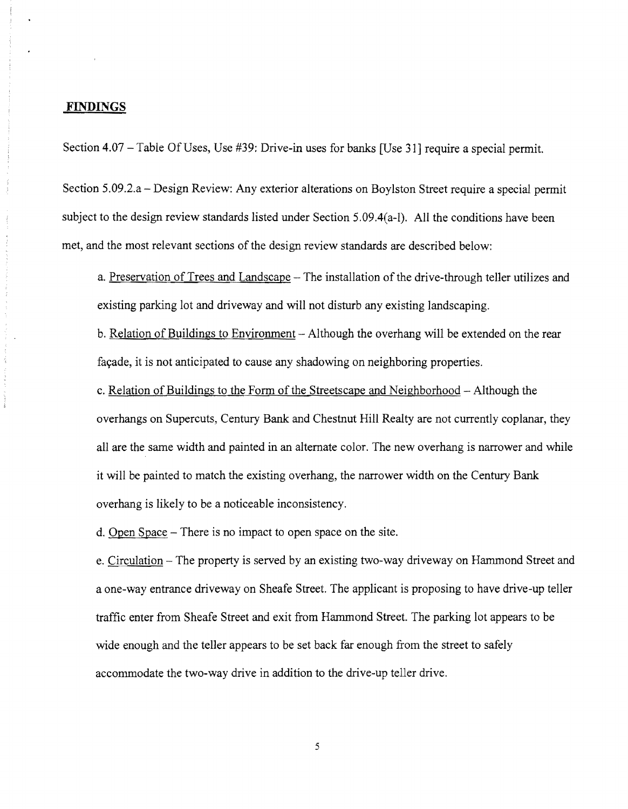#### **FINDINGS**

 $\hat{c}_b$ 

Section 4.07 – Table Of Uses, Use #39: Drive-in uses for banks [Use 31] require a special permit.

Section 5.09.2.a - Design Review: Any exterior alterations on Boylston Street require a special permit subject to the design review standards listed under Section 5.09.4(a-l). All the conditions have been met, and the most relevant sections of the design review standards are described below:

a. Preservation of Trees and Landscape – The installation of the drive-through teller utilizes and existing parking lot and driveway and will not disturb any existing landscaping.

b. Relation of Buildings to Environment – Although the overhang will be extended on the rear facade, it is not anticipated to cause any shadowing on neighboring properties.

c. Relation of Buildings to the Form of the Streets cape and Neighborhood - Although the overhangs on Supercuts, Century Bank and Chestnut Hill Realty are not currently coplanar, they all are the same width and painted in an alternate color. The new overhang is narrower and while it will be painted to match the existing overhang, the narrower width on the Century Bank overhang is likely to be a noticeable inconsistency.

d. Open Space - There is no impact to open space on the site.

e. Circulation - The property is served by an existing two-way driveway on Hammond Street and a one-way entrance driveway on Sheafe Street. The applicant is proposing to have drive-up teller traffic enter from Sheafe Street and exit from Hammond Street. The parking lot appears to be wide enough and the teller appears to be set back far enough from the street to safely accommodate the two-way drive in addition to the drive-up teller drive.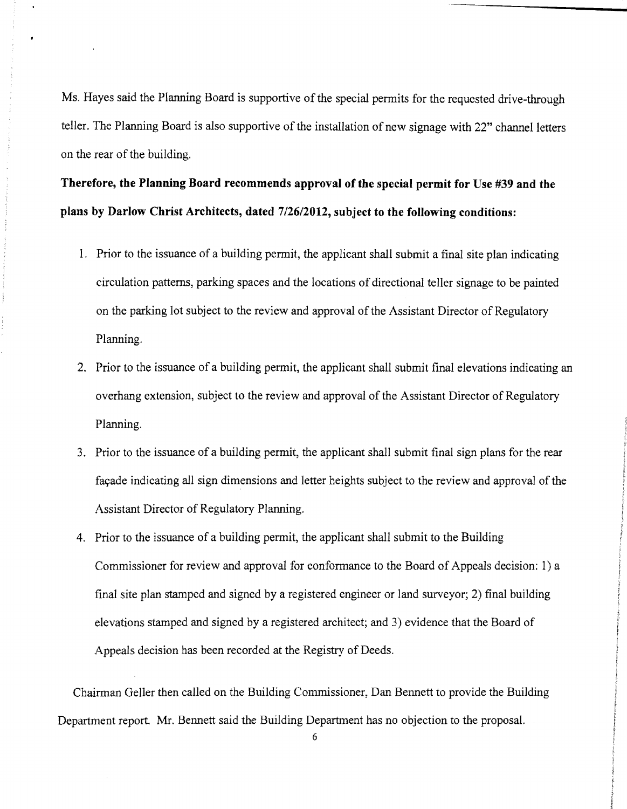Ms. Hayes said the Planning Board is supportive of the special permits for the requested drive-through teller. The Planning Board is also supportive of the installation of new signage with 22" channel letters on the rear of the building.

**Therefore, the Planning Board recommends approval** of the **special permit for Use #39 and the plans by Darlow Christ Architects, dated 7/26/2012, subject to the following conditions:** 

- 1. Prior to the issuance of a building permit, the applicant shall submit a final site plan indicating circulation patterns, parking spaces and the locations of directional teller signage to be painted on the parking lot subject to the review and approval of the Assistant Director of Regulatory Planning.
- 2. Prior to the issuance of a building permit, the applicant shall submit final elevations indicating an overhang extension, subject to the review and approval of the Assistant Director of Regulatory Planning.
- 3. Prior to the issuance of a building permit, the applicant shall submit final sign plans for the rear fayade indicating all sign dimensions and letter heights subject to the review and approval of the Assistant Director of Regulatory Planning.
- 4. Prior to the issuance of a building permit, the applicant shall submit to the Building Commissioner for review and approval for conformance to the Board of Appeals decision: 1) a final site plan stamped and signed by a registered engineer or land surveyor; 2) final building elevations stamped and signed by a registered architect; and 3) evidence that the Board of Appeals decision has been recorded at the Registry of Deeds.

Chairman Geller then called on the Building Commissioner, Dan Bennett to provide the Building Department report. Mr. Bennett said the Building Department has no objection to the proposal.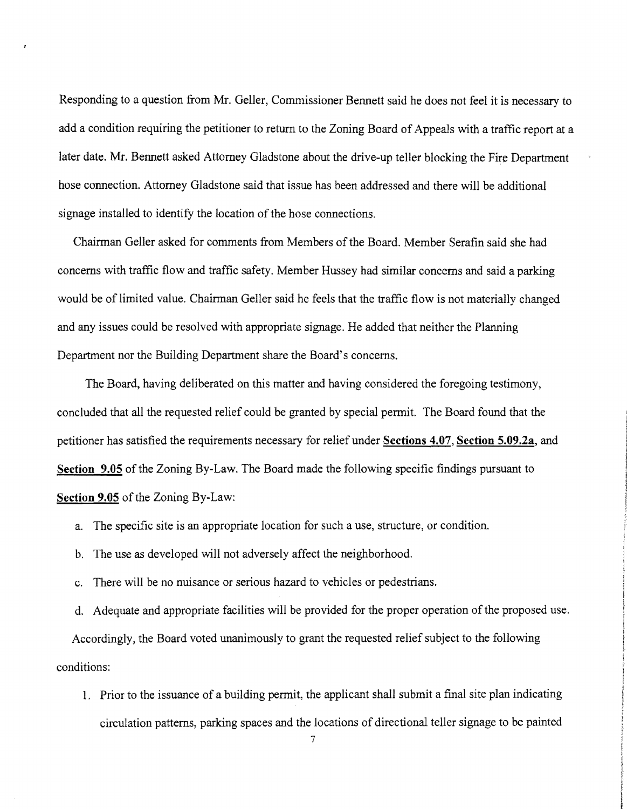Responding to a question from Mr. Geller, Commissioner Bennett said he does not feel it is necessary to add a condition requiring the petitioner to return to the Zoning Board of Appeals with a traffic report at a later date. Mr. Bennett asked Attorney Gladstone about the drive-up teller blocking the Fire Department hose connection. Attorney Gladstone said that issue has been addressed and there will be additional signage installed to identify the location of the hose connections.

Chairman Geller asked for comments from Members of the Board. Member Serafin said she had concerns with traffic flow and traffic safety. Member Hussey had similar concerns and said a parking would be of limited value. Chairman Geller said he feels that the traffic flow is not materially changed and any issues could be resolved with appropriate signage. He added that neither the Planning Department nor the Building Department share the Board's concerns.

The Board, having deliberated on this matter and having considered the foregoing testimony, concluded that all the requested relief could be granted by special permit. The Board found that the petitioner has satisfied the requirements necessary for relief under Sections 4.07, Section 5.09.2a, and Section 9.05 of the Zoning By-Law. The Board made the following specific findings pursuant to Section 9.05 of the Zoning By-Law:

- a. The specific site is an appropriate location for such a use, structure, or condition.
- b. The use as developed will not adversely affect the neighborhood.
- c. There will be no nuisance or serious hazard to vehicles or pedestrians.

d. Adequate and appropriate facilities will be provided for the proper operation of the proposed use. Accordingly, the Board voted unanimously to grant the requested relief subject to the following conditions:

1. Prior to the issuance of a building permit, the applicant shall submit a final site plan indicating circulation patterns, parking spaces and the locations of directional teller signage to be painted